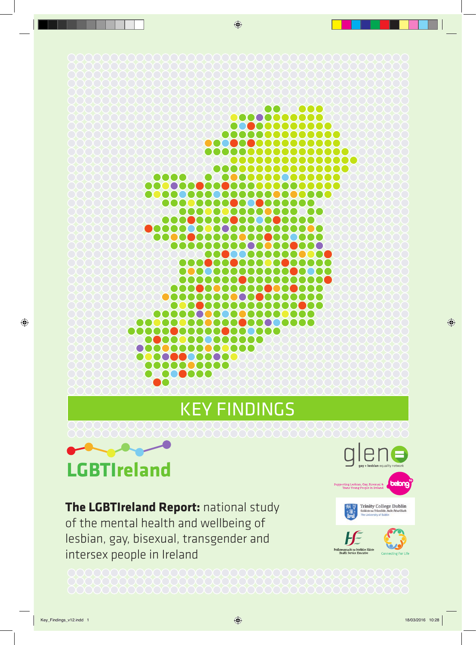#### **encone** 000000000000000 . . . . . . . . . . . . . . . . ............... 0000000000 00000000000000  $\bullet$ ......... **..........** ..................... 00000000000 ,000000 **..............**  $\mathbf{C}$ ................. 8000000 000000000000 **........** 00000 8888  $\bullet$ ,,,,,,,,,,,, <u>Maaaaaaa</u> **.......... 0000000000000** .................. ,,,,,,,,,, 1000 00000000000000000 0000 . . . . . . . . . . . . . . 000000 0000000 00000 00000 ,,,,,,,,,,,,, **DOO** 000000000 000 00000000000 100000 ,,,,,,,,, KEY FINDINGS



**The LGBTIreland Report:** national study of the mental health and wellbeing of lesbian, gay, bisexual, transgender and intersex people in Ireland

**Trinity College Dublin** 

cht na Seirbhíse Sláint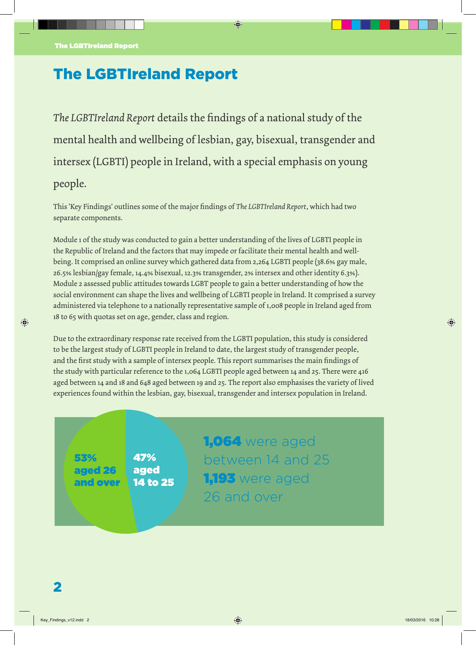# The LGBTIreland Report

*The LGBTIreland Report* details the findings of a national study of the mental health and wellbeing of lesbian, gay, bisexual, transgender and intersex (LGBTI) people in Ireland, with a special emphasis on young people.

This 'Key Findings' outlines some of the major findings of *The LGBTIreland Report*, which had two separate components.

Module 1 of the study was conducted to gain a better understanding of the lives of LGBTI people in the Republic of Ireland and the factors that may impede or facilitate their mental health and wellbeing. It comprised an online survey which gathered data from 2,264 LGBTI people (38.6% gay male, 26.5% lesbian/gay female, 14.4% bisexual, 12.3% transgender, 2% intersex and other identity 6.3%). Module 2 assessed public attitudes towards LGBT people to gain a better understanding of how the social environment can shape the lives and wellbeing of LGBTI people in Ireland. It comprised a survey administered via telephone to a nationally representative sample of 1,008 people in Ireland aged from 18 to 65 with quotas set on age, gender, class and region.

Due to the extraordinary response rate received from the LGBTI population, this study is considered to be the largest study of LGBTI people in Ireland to date, the largest study of transgender people, and the first study with a sample of intersex people. This report summarises the main findings of the study with particular reference to the 1,064 LGBTI people aged between 14 and 25. There were 416 aged between 14 and 18 and 648 aged between 19 and 25. The report also emphasises the variety of lived experiences found within the lesbian, gay, bisexual, transgender and intersex population in Ireland.

53% aged 26 and over 47% aged 14 to 25 1,064 were aged between 14 and 25 1,193 were aged 26 and over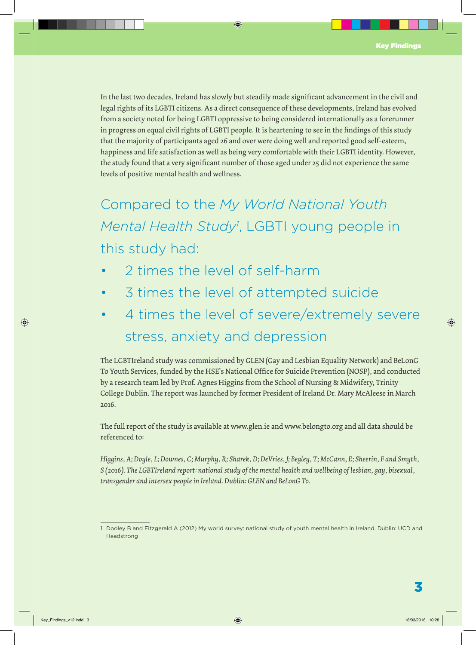In the last two decades, Ireland has slowly but steadily made significant advancement in the civil and legal rights of its LGBTI citizens. As a direct consequence of these developments, Ireland has evolved from a society noted for being LGBTI oppressive to being considered internationally as a forerunner in progress on equal civil rights of LGBTI people. It is heartening to see in the findings of this study that the majority of participants aged 26 and over were doing well and reported good self-esteem, happiness and life satisfaction as well as being very comfortable with their LGBTI identity. However, the study found that a very significant number of those aged under 25 did not experience the same levels of positive mental health and wellness.

Compared to the *My World National Youth*  Mental Health Study<sup>1</sup>, LGBTI young people in this study had:

- 2 times the level of self-harm
- 3 times the level of attempted suicide
- 4 times the level of severe/extremely severe stress, anxiety and depression

The LGBTIreland study was commissioned by GLEN (Gay and Lesbian Equality Network) and BeLonG To Youth Services, funded by the HSE's National Office for Suicide Prevention (NOSP), and conducted by a research team led by Prof. Agnes Higgins from the School of Nursing & Midwifery, Trinity College Dublin. The report was launched by former President of Ireland Dr. Mary McAleese in March 2016.

The full report of the study is available at www.glen.ie and www.belongto.org and all data should be referenced to:

*Higgins, A; Doyle, L; Downes, C; Murphy, R; Sharek, D; DeVries, J; Begley, T; McCann, E; Sheerin, F and Smyth, S (2016). The LGBTIreland report: national study of the mental health and wellbeing of lesbian, gay, bisexual, transgender and intersex people in Ireland. Dublin: GLEN and BeLonG To.*

<sup>1</sup> Dooley B and Fitzgerald A (2012) My world survey: national study of youth mental health in Ireland. Dublin: UCD and Headstrong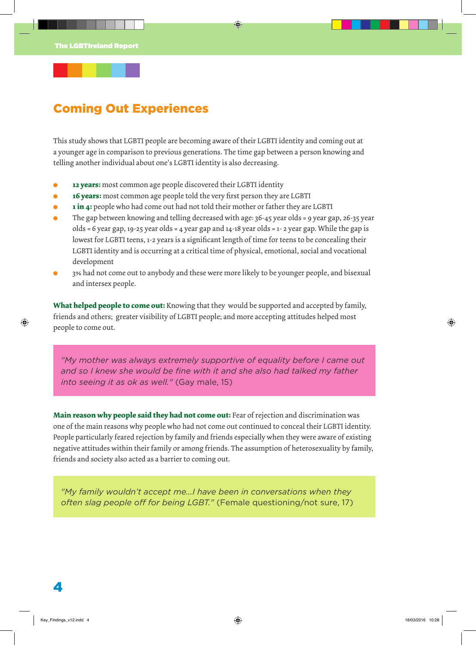## Coming Out Experiences

This study shows that LGBTI people are becoming aware of their LGBTI identity and coming out at a younger age in comparison to previous generations. The time gap between a person knowing and telling another individual about one's LGBTI identity is also decreasing.

- **. 12 years:** most common age people discovered their LGBTI identity
- **. 16 years:** most common age people told the very first person they are LGBTI
- **. 1 in 4:** people who had come out had not told their mother or father they are LGBTI
- **.** The gap between knowing and telling decreased with age: 36-45 year olds = 9 year gap, 26-35 year olds = 6 year gap, 19-25 year olds = 4 year gap and 14-18 year olds = 1- 2 year gap. While the gap is lowest for LGBTI teens, 1-2 years is a significant length of time for teens to be concealing their LGBTI identity and is occurring at a critical time of physical, emotional, social and vocational development
- **.** 3% had not come out to anybody and these were more likely to be younger people, and bisexual and intersex people.

**What helped people to come out:** Knowing that they would be supported and accepted by family, friends and others; greater visibility of LGBTI people; and more accepting attitudes helped most people to come out.

*"My mother was always extremely supportive of equality before I came out and so I knew she would be fine with it and she also had talked my father into seeing it as ok as well."* (Gay male, 15)

**Main reason why people said they had not come out:** Fear of rejection and discrimination was one of the main reasons why people who had not come out continued to conceal their LGBTI identity. People particularly feared rejection by family and friends especially when they were aware of existing negative attitudes within their family or among friends. The assumption of heterosexuality by family, friends and society also acted as a barrier to coming out.

*"My family wouldn't accept me...I have been in conversations when they often slag people off for being LGBT."* (Female questioning/not sure, 17)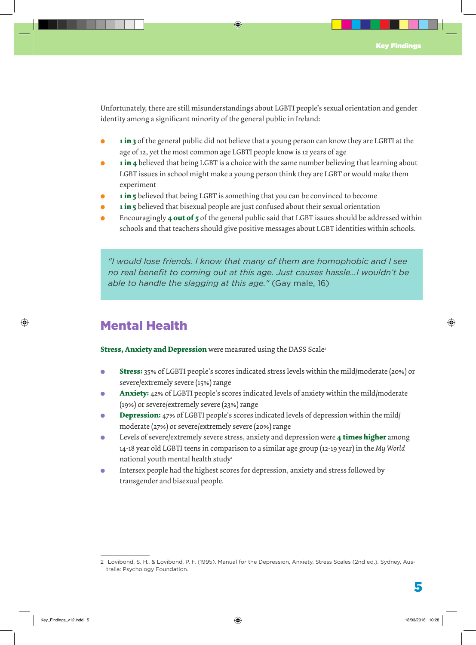Unfortunately, there are still misunderstandings about LGBTI people's sexual orientation and gender identity among a significant minority of the general public in Ireland:

- **. 1 in 3** of the general public did not believe that a young person can know they are LGBTI at the age of 12, yet the most common age LGBTI people know is 12 years of age
- **. 1 in 4** believed that being LGBT is a choice with the same number believing that learning about LGBT issues in school might make a young person think they are LGBT or would make them experiment
- **. 1 in 5** believed that being LGBT is something that you can be convinced to become
- **. 1 in 5** believed that bisexual people are just confused about their sexual orientation
- **.** Encouragingly **4 out of 5** of the general public said that LGBT issues should be addressed within schools and that teachers should give positive messages about LGBT identities within schools.

*"I would lose friends. I know that many of them are homophobic and I see no real benefit to coming out at this age. Just causes hassle…I wouldn't be able to handle the slagging at this age."* (Gay male, 16)

## Mental Health

**Stress, Anxiety and Depression** were measured using the DASS Scale<sup>2</sup>

- **. Stress:** 35% of LGBTI people's scores indicated stress levels within the mild/moderate (20%) or severe/extremely severe (15%) range
- **. Anxiety:** 42% of LGBTI people's scores indicated levels of anxiety within the mild/moderate (19%) or severe/extremely severe (23%) range
- **. Depression:** 47% of LGBTI people's scores indicated levels of depression within the mild/ moderate (27%) or severe/extremely severe (20%) range
- **.** Levels of severe/extremely severe stress, anxiety and depression were **4 times higher** among 14-18 year old LGBTI teens in comparison to a similar age group (12-19 year) in the *My World* national youth mental health study<sup>1</sup>
- **.** Intersex people had the highest scores for depression, anxiety and stress followed by transgender and bisexual people.

<sup>2</sup> Lovibond, S. H., & Lovibond, P. F. (1995). Manual for the Depression, Anxiety, Stress Scales (2nd ed.). Sydney, Australia: Psychology Foundation.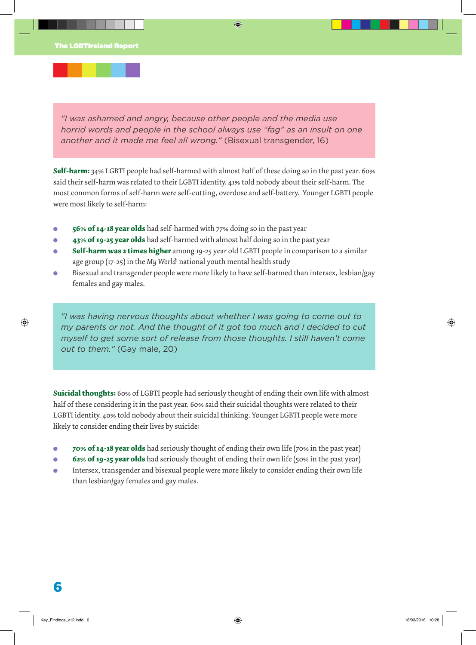*"I was ashamed and angry, because other people and the media use horrid words and people in the school always use "fag" as an insult on one another and it made me feel all wrong."* (Bisexual transgender, 16)

**Self-harm:** 34% LGBTI people had self-harmed with almost half of these doing so in the past year. 60% said their self-harm was related to their LGBTI identity. 41% told nobody about their self-harm. The most common forms of self-harm were self-cutting, overdose and self-battery. Younger LGBTI people were most likely to self-harm:

- **. 56% of 14-18 year olds** had self-harmed with 77% doing so in the past year
- **. 43% of 19-25 year olds** had self-harmed with almost half doing so in the past year
- **. Self-harm was 2 times higher** among 19-25 year old LGBTI people in comparison to a similar age group (17-25) in the My World<sup>1</sup> national youth mental health study
- **.** Bisexual and transgender people were more likely to have self-harmed than intersex, lesbian/gay females and gay males.

*"I was having nervous thoughts about whether I was going to come out to my parents or not. And the thought of it got too much and I decided to cut myself to get some sort of release from those thoughts. I still haven't come out to them."* (Gay male, 20)

**Suicidal thoughts:** 60% of LGBTI people had seriously thought of ending their own life with almost half of these considering it in the past year. 60% said their suicidal thoughts were related to their LGBTI identity. 40% told nobody about their suicidal thinking. Younger LGBTI people were more likely to consider ending their lives by suicide:

- **. 70% of 14-18 year olds** had seriously thought of ending their own life (70% in the past year)
- **62% of 19-25 year olds** had seriously thought of ending their own life (50% in the past year)
- **.** Intersex, transgender and bisexual people were more likely to consider ending their own life than lesbian/gay females and gay males.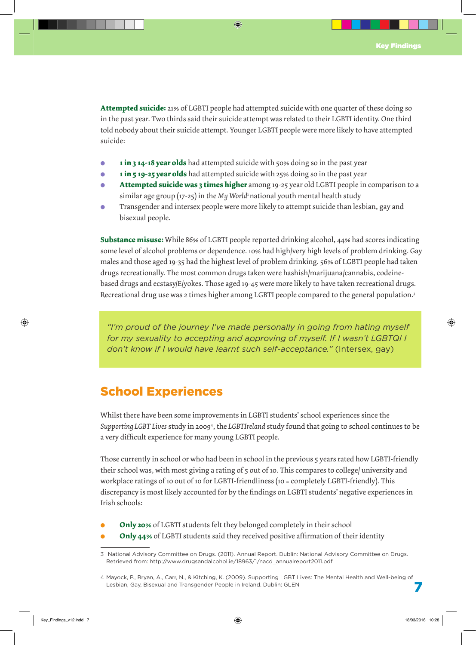**Attempted suicide:** 21% of LGBTI people had attempted suicide with one quarter of these doing so in the past year. Two thirds said their suicide attempt was related to their LGBTI identity. One third told nobody about their suicide attempt. Younger LGBTI people were more likely to have attempted suicide:

- **1 in 3 14-18 year olds** had attempted suicide with 50% doing so in the past year
- **. 1 in 5 19-25 year olds** had attempted suicide with 25% doing so in the past year
- **. Attempted suicide was 3 times higher** among 19-25 year old LGBTI people in comparison to a similar age group (17-25) in the *My World* national youth mental health study
- **.** Transgender and intersex people were more likely to attempt suicide than lesbian, gay and bisexual people.

**Substance misuse:** While 86% of LGBTI people reported drinking alcohol, 44% had scores indicating some level of alcohol problems or dependence. 10% had high/very high levels of problem drinking. Gay males and those aged 19-35 had the highest level of problem drinking. 56% of LGBTI people had taken drugs recreationally. The most common drugs taken were hashish/marijuana/cannabis, codeinebased drugs and ecstasy/E/yokes. Those aged 19-45 were more likely to have taken recreational drugs. Recreational drug use was 2 times higher among LGBTI people compared to the general population.3

*"I'm proud of the journey I've made personally in going from hating myself for my sexuality to accepting and approving of myself. If I wasn't LGBTQI I don't know if I would have learnt such self-acceptance."* (Intersex, gay)

## School Experiences

Whilst there have been some improvements in LGBTI students' school experiences since the *Supporting LGBT Lives* study in 20094 , the *LGBTIreland* study found that going to school continues to be a very difficult experience for many young LGBTI people.

Those currently in school or who had been in school in the previous 5 years rated how LGBTI-friendly their school was, with most giving a rating of 5 out of 10. This compares to college/ university and workplace ratings of 10 out of 10 for LGBTI-friendliness (10 = completely LGBTI-friendly). This discrepancy is most likely accounted for by the findings on LGBTI students' negative experiences in Irish schools:

- **. Only 20%** of LGBTI students felt they belonged completely in their school
- **. Only 44%** of LGBTI students said they received positive affirmation of their identity

<sup>3</sup> National Advisory Committee on Drugs. (2011). Annual Report. Dublin: National Advisory Committee on Drugs. Retrieved from: http://www.drugsandalcohol.ie/18963/1/nacd\_annualreport2011.pdf

<sup>4</sup> Mayock, P., Bryan, A., Carr, N., & Kitching, K. (2009). Supporting LGBT Lives: The Mental Health and Well-being of Lesbian, Gay, Bisexual and Transgender People in Ireland. Dublin: GLEN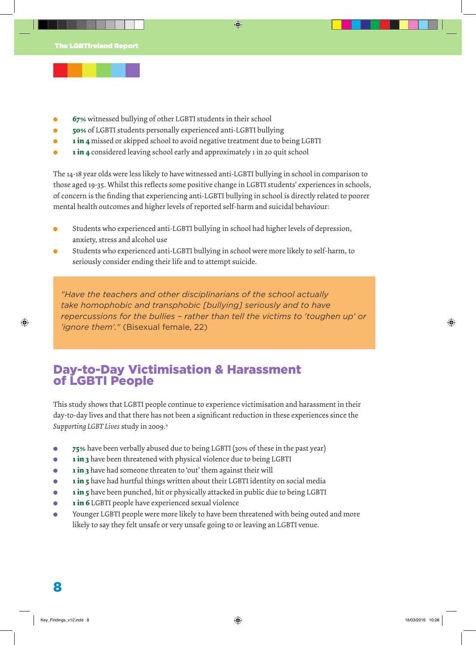- **67%** witnessed bullying of other LGBTI students in their school
- **. 50%** of LGBTI students personally experienced anti-LGBTI bullying
- **. 1 in 4** missed or skipped school to avoid negative treatment due to being LGBTI
- **. 1 in 4** considered leaving school early and approximately 1 in 20 quit school

The 14-18 year olds were less likely to have witnessed anti-LGBTI bullying in school in comparison to those aged 19-35. Whilst this reflects some positive change in LGBTI students' experiences in schools, of concern is the finding that experiencing anti-LGBTI bullying in school is directly related to poorer mental health outcomes and higher levels of reported self-harm and suicidal behaviour:

- **.** Students who experienced anti-LGBTI bullying in school had higher levels of depression, anxiety, stress and alcohol use
- **.** Students who experienced anti-LGBTI bullying in school were more likely to self-harm, to seriously consider ending their life and to attempt suicide.

*"Have the teachers and other disciplinarians of the school actually take homophobic and transphobic [bullying] seriously and to have repercussions for the bullies – rather than tell the victims to 'toughen up' or 'ignore them'."* (Bisexual female, 22)

### Day-to-Day Victimisation & Harassment of LGBTI People

This study shows that LGBTI people continue to experience victimisation and harassment in their day-to-day lives and that there has not been a significant reduction in these experiences since the *Supporting LGBT Lives* study in 2009.4

- **. 75%** have been verbally abused due to being LGBTI (30% of these in the past year)
- **. 1 in 3** have been threatened with physical violence due to being LGBTI
- **1 in 3** have had someone threaten to 'out' them against their will
- **. 1 in 5** have had hurtful things written about their LGBTI identity on social media
- **1 in 5** have been punched, hit or physically attacked in public due to being LGBTI
- **. 1 in 6** LGBTI people have experienced sexual violence
- **.** Younger LGBTI people were more likely to have been threatened with being outed and more likely to say they felt unsafe or very unsafe going to or leaving an LGBTI venue.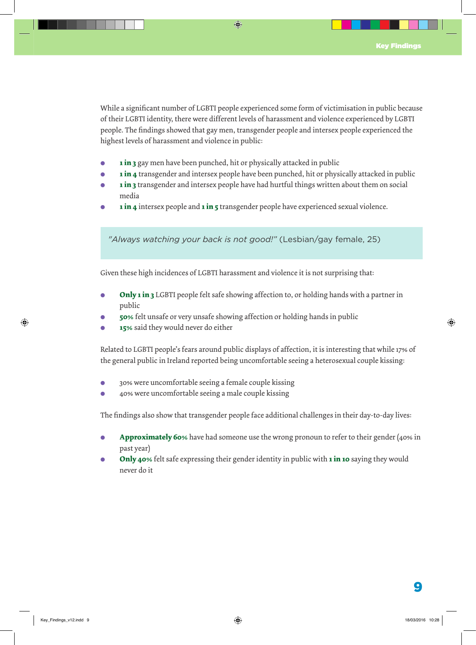While a significant number of LGBTI people experienced some form of victimisation in public because of their LGBTI identity, there were different levels of harassment and violence experienced by LGBTI people. The findings showed that gay men, transgender people and intersex people experienced the highest levels of harassment and violence in public:

- **1 in 3** gay men have been punched, hit or physically attacked in public
- **. 1 in 4** transgender and intersex people have been punched, hit or physically attacked in public
- **1 in 3** transgender and intersex people have had hurtful things written about them on social media
- **. 1 in 4** intersex people and **1 in 5** transgender people have experienced sexual violence.

*"Always watching your back is not good!"* (Lesbian/gay female, 25)

Given these high incidences of LGBTI harassment and violence it is not surprising that:

- **. Only 1 in 3** LGBTI people felt safe showing affection to, or holding hands with a partner in public
- **. 50%** felt unsafe or very unsafe showing affection or holding hands in public
- **. 15%** said they would never do either

Related to LGBTI people's fears around public displays of affection, it is interesting that while 17% of the general public in Ireland reported being uncomfortable seeing a heterosexual couple kissing:

- **.** 30% were uncomfortable seeing a female couple kissing
- **.** 40% were uncomfortable seeing a male couple kissing

The findings also show that transgender people face additional challenges in their day-to-day lives:

- **Approximately 60%** have had someone use the wrong pronoun to refer to their gender (40% in past year)
- **. Only 40**% felt safe expressing their gender identity in public with **1 in 10** saying they would never do it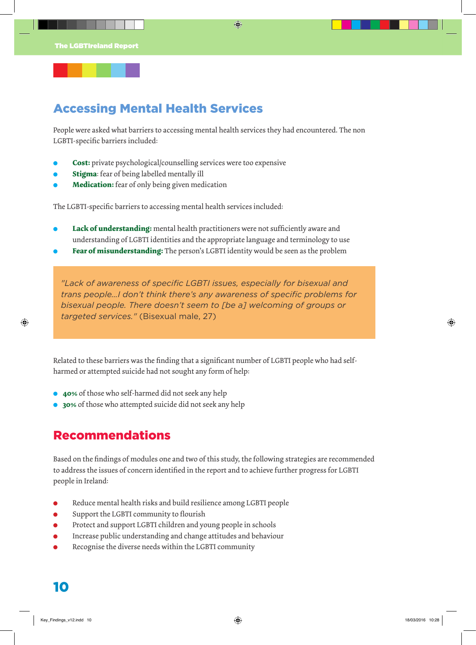## Accessing Mental Health Services

People were asked what barriers to accessing mental health services they had encountered. The non LGBTI-specific barriers included:

- **. Cost:** private psychological/counselling services were too expensive
- **. Stigma**: fear of being labelled mentally ill
- **. Medication:** fear of only being given medication

The LGBTI-specific barriers to accessing mental health services included:

- **. Lack of understanding:** mental health practitioners were not sufficiently aware and understanding of LGBTI identities and the appropriate language and terminology to use
- **. Fear of misunderstanding:** The person's LGBTI identity would be seen as the problem

*"Lack of awareness of specific LGBTI issues, especially for bisexual and trans people…I don't think there's any awareness of specific problems for bisexual people. There doesn't seem to [be a] welcoming of groups or targeted services."* (Bisexual male, 27)

Related to these barriers was the finding that a significant number of LGBTI people who had selfharmed or attempted suicide had not sought any form of help:

- **. 40%** of those who self-harmed did not seek any help
- **. 30%** of those who attempted suicide did not seek any help

### Recommendations

Based on the findings of modules one and two of this study, the following strategies are recommended to address the issues of concern identified in the report and to achieve further progress for LGBTI people in Ireland:

- **.** Reduce mental health risks and build resilience among LGBTI people
- **.** Support the LGBTI community to flourish
- **.** Protect and support LGBTI children and young people in schools
- Protect and support LGBTI children and young people in schools<br>• Increase public understanding and change attitudes and behaviour
- **. Increase public understanding and change attitudes and behavior Recognise the diverse needs within the LGBTI community**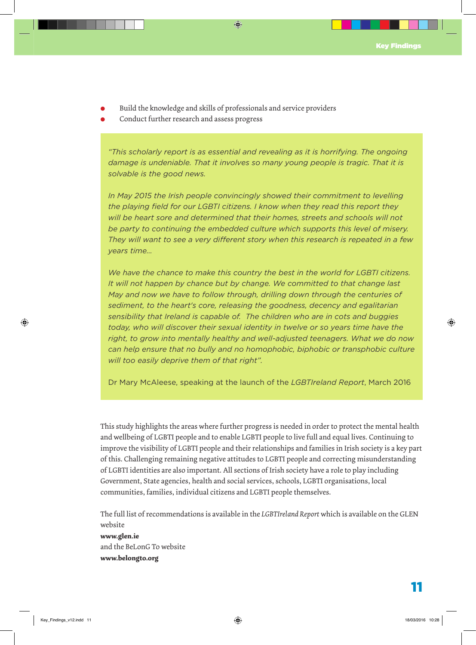- **.** Build the knowledge and skills of professionals and service providers
- **.** Conduct further research and assess progress

*"This scholarly report is as essential and revealing as it is horrifying. The ongoing damage is undeniable. That it involves so many young people is tragic. That it is solvable is the good news.*

*In May 2015 the Irish people convincingly showed their commitment to levelling the playing field for our LGBTI citizens. I know when they read this report they will be heart sore and determined that their homes, streets and schools will not be party to continuing the embedded culture which supports this level of misery. They will want to see a very different story when this research is repeated in a few years time…*

*We have the chance to make this country the best in the world for LGBTI citizens. It will not happen by chance but by change. We committed to that change last May and now we have to follow through, drilling down through the centuries of sediment, to the heart's core, releasing the goodness, decency and egalitarian sensibility that Ireland is capable of. The children who are in cots and buggies today, who will discover their sexual identity in twelve or so years time have the right, to grow into mentally healthy and well-adjusted teenagers. What we do now can help ensure that no bully and no homophobic, biphobic or transphobic culture will too easily deprive them of that right".* 

Dr Mary McAleese, speaking at the launch of the *LGBTIreland Report*, March 2016

This study highlights the areas where further progress is needed in order to protect the mental health and wellbeing of LGBTI people and to enable LGBTI people to live full and equal lives. Continuing to improve the visibility of LGBTI people and their relationships and families in Irish society is a key part of this. Challenging remaining negative attitudes to LGBTI people and correcting misunderstanding of LGBTI identities are also important. All sections of Irish society have a role to play including Government, State agencies, health and social services, schools, LGBTI organisations, local communities, families, individual citizens and LGBTI people themselves.

The full list of recommendations is available in the *LGBTIreland Report* which is available on the GLEN website **www.glen.ie** and the BeLonG To website **www.belongto.org**